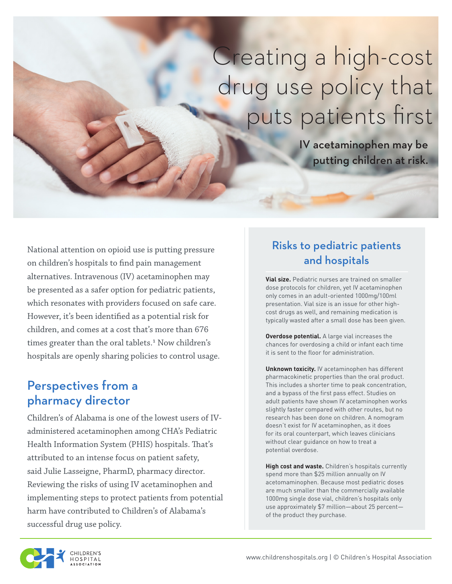# Creating a high-cost drug use policy that puts patients first

IV acetaminophen may be putting children at risk.

National attention on opioid use is putting pressure on children's hospitals to find pain management alternatives. Intravenous (IV) acetaminophen may be presented as a safer option for pediatric patients, which resonates with providers focused on safe care. However, it's been identified as a potential risk for children, and comes at a cost that's more than 676 times greater than the oral tablets.<sup>1</sup> Now children's hospitals are openly sharing policies to control usage.

#### Perspectives from a pharmacy director

Children's of Alabama is one of the lowest users of IVadministered acetaminophen among CHA's Pediatric Health Information System (PHIS) hospitals. That's attributed to an intense focus on patient safety, said Julie Lasseigne, PharmD, pharmacy director. Reviewing the risks of using IV acetaminophen and implementing steps to protect patients from potential harm have contributed to Children's of Alabama's successful drug use policy.

### Risks to pediatric patients and hospitals

**Vial size.** Pediatric nurses are trained on smaller dose protocols for children, yet IV acetaminophen only comes in an adult-oriented 1000mg/100ml presentation. Vial size is an issue for other highcost drugs as well, and remaining medication is typically wasted after a small dose has been given.

**Overdose potential.** A large vial increases the chances for overdosing a child or infant each time it is sent to the floor for administration.

**Unknown toxicity.** IV acetaminophen has different pharmacokinetic properties than the oral product. This includes a shorter time to peak concentration, and a bypass of the first pass effect. Studies on adult patients have shown IV acetaminophen works slightly faster compared with other routes, but no research has been done on children. A nomogram doesn't exist for IV acetaminophen, as it does for its oral counterpart, which leaves clinicians without clear guidance on how to treat a potential overdose.

**High cost and waste.** Children's hospitals currently spend more than \$25 million annually on IV acetomaminophen. Because most pediatric doses are much smaller than the commercially available 1000mg single dose vial, children's hospitals only use approximately \$7 million—about 25 percent of the product they purchase.